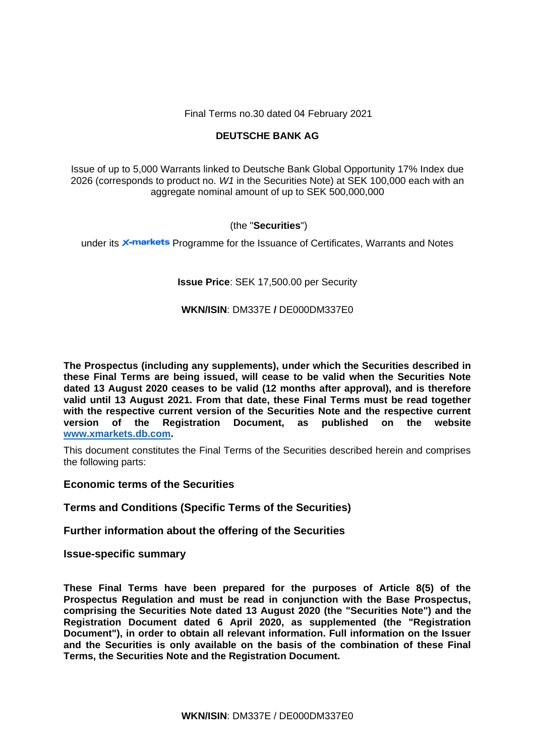Final Terms no.30 dated 04 February 2021

## **DEUTSCHE BANK AG**

Issue of up to 5,000 Warrants linked to Deutsche Bank Global Opportunity 17% Index due 2026 (corresponds to product no. *W1* in the Securities Note) at SEK 100,000 each with an aggregate nominal amount of up to SEK 500,000,000

## (the "**Securities**")

under its **X-markets** Programme for the Issuance of Certificates, Warrants and Notes

## **Issue Price**: SEK 17,500.00 per Security

## **WKN/ISIN**: DM337E **/** DE000DM337E0

**The Prospectus (including any supplements), under which the Securities described in these Final Terms are being issued, will cease to be valid when the Securities Note dated 13 August 2020 ceases to be valid (12 months after approval), and is therefore valid until 13 August 2021. From that date, these Final Terms must be read together with the respective current version of the Securities Note and the respective current version of the Registration Document, as published on the website [www.xmarkets.db.com.](http://www.xmarkets.db.com/)** 

This document constitutes the Final Terms of the Securities described herein and comprises the following parts:

### **Economic terms of the Securities**

### **Terms and Conditions (Specific Terms of the Securities)**

### **Further information about the offering of the Securities**

**Issue-specific summary** 

**These Final Terms have been prepared for the purposes of Article 8(5) of the Prospectus Regulation and must be read in conjunction with the Base Prospectus, comprising the Securities Note dated 13 August 2020 (the "Securities Note") and the Registration Document dated 6 April 2020, as supplemented (the "Registration Document"), in order to obtain all relevant information. Full information on the Issuer and the Securities is only available on the basis of the combination of these Final Terms, the Securities Note and the Registration Document.**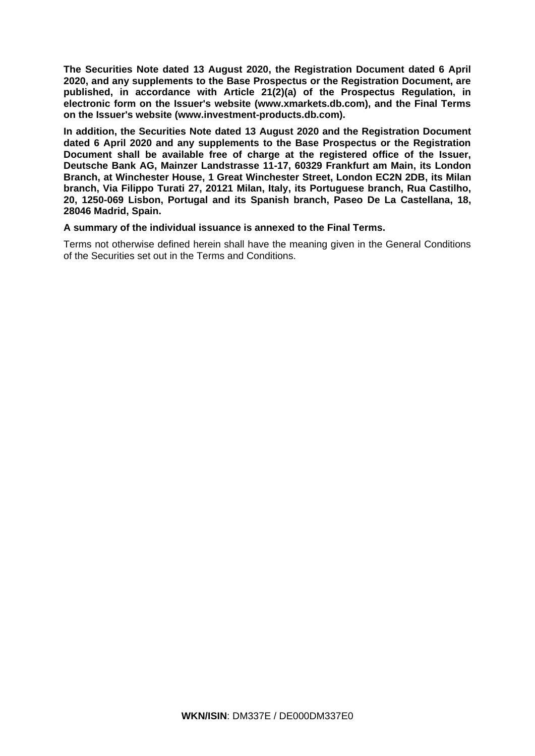**The Securities Note dated 13 August 2020, the Registration Document dated 6 April 2020, and any supplements to the Base Prospectus or the Registration Document, are published, in accordance with Article 21(2)(a) of the Prospectus Regulation, in electronic form on the Issuer's website (www.xmarkets.db.com), and the Final Terms on the Issuer's website (www.investment-products.db.com).** 

**In addition, the Securities Note dated 13 August 2020 and the Registration Document dated 6 April 2020 and any supplements to the Base Prospectus or the Registration Document shall be available free of charge at the registered office of the Issuer, Deutsche Bank AG, Mainzer Landstrasse 11-17, 60329 Frankfurt am Main, its London Branch, at Winchester House, 1 Great Winchester Street, London EC2N 2DB, its Milan branch, Via Filippo Turati 27, 20121 Milan, Italy, its Portuguese branch, Rua Castilho, 20, 1250-069 Lisbon, Portugal and its Spanish branch, Paseo De La Castellana, 18, 28046 Madrid, Spain.** 

### **A summary of the individual issuance is annexed to the Final Terms.**

Terms not otherwise defined herein shall have the meaning given in the General Conditions of the Securities set out in the Terms and Conditions.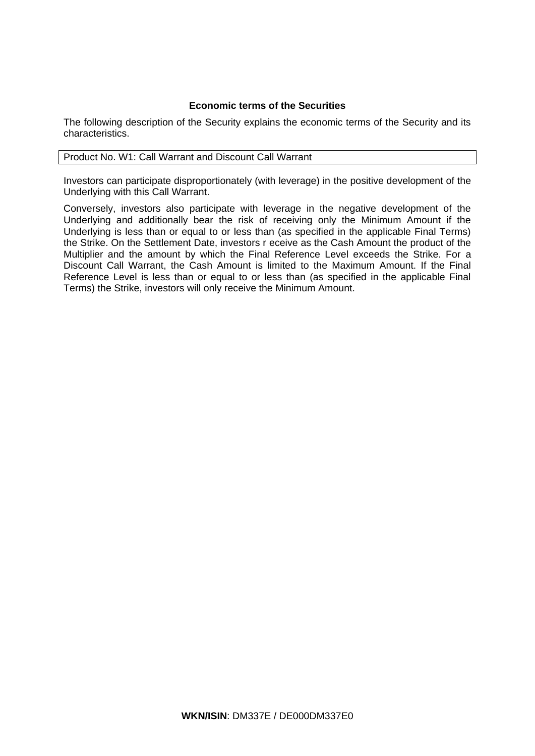## **Economic terms of the Securities**

The following description of the Security explains the economic terms of the Security and its characteristics.

## Product No. W1: Call Warrant and Discount Call Warrant

Investors can participate disproportionately (with leverage) in the positive development of the Underlying with this Call Warrant.

Conversely, investors also participate with leverage in the negative development of the Underlying and additionally bear the risk of receiving only the Minimum Amount if the Underlying is less than or equal to or less than (as specified in the applicable Final Terms) the Strike. On the Settlement Date, investors r eceive as the Cash Amount the product of the Multiplier and the amount by which the Final Reference Level exceeds the Strike. For a Discount Call Warrant, the Cash Amount is limited to the Maximum Amount. If the Final Reference Level is less than or equal to or less than (as specified in the applicable Final Terms) the Strike, investors will only receive the Minimum Amount.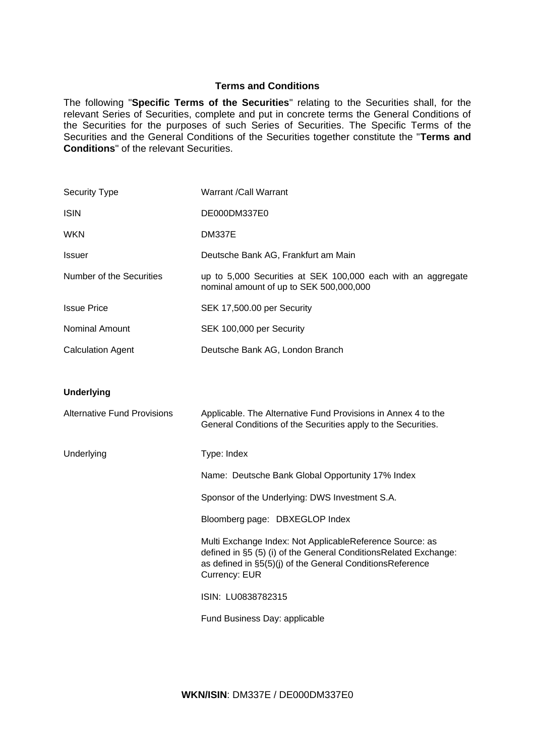## **Terms and Conditions**

The following "**Specific Terms of the Securities**" relating to the Securities shall, for the relevant Series of Securities, complete and put in concrete terms the General Conditions of the Securities for the purposes of such Series of Securities. The Specific Terms of the Securities and the General Conditions of the Securities together constitute the "**Terms and Conditions**" of the relevant Securities.

| <b>Security Type</b>               | Warrant /Call Warrant                                                                                                                                                                                      |  |
|------------------------------------|------------------------------------------------------------------------------------------------------------------------------------------------------------------------------------------------------------|--|
| <b>ISIN</b>                        | DE000DM337E0                                                                                                                                                                                               |  |
| <b>WKN</b>                         | <b>DM337E</b>                                                                                                                                                                                              |  |
| <b>Issuer</b>                      | Deutsche Bank AG, Frankfurt am Main                                                                                                                                                                        |  |
| Number of the Securities           | up to 5,000 Securities at SEK 100,000 each with an aggregate<br>nominal amount of up to SEK 500,000,000                                                                                                    |  |
| <b>Issue Price</b>                 | SEK 17,500.00 per Security                                                                                                                                                                                 |  |
| Nominal Amount                     | SEK 100,000 per Security                                                                                                                                                                                   |  |
| <b>Calculation Agent</b>           | Deutsche Bank AG, London Branch                                                                                                                                                                            |  |
|                                    |                                                                                                                                                                                                            |  |
| <b>Underlying</b>                  |                                                                                                                                                                                                            |  |
| <b>Alternative Fund Provisions</b> | Applicable. The Alternative Fund Provisions in Annex 4 to the<br>General Conditions of the Securities apply to the Securities.                                                                             |  |
| Underlying                         | Type: Index                                                                                                                                                                                                |  |
|                                    | Name: Deutsche Bank Global Opportunity 17% Index                                                                                                                                                           |  |
|                                    | Sponsor of the Underlying: DWS Investment S.A.                                                                                                                                                             |  |
|                                    | Bloomberg page: DBXEGLOP Index                                                                                                                                                                             |  |
|                                    | Multi Exchange Index: Not ApplicableReference Source: as<br>defined in §5 (5) (i) of the General ConditionsRelated Exchange:<br>as defined in §5(5)(j) of the General ConditionsReference<br>Currency: EUR |  |
|                                    | ISIN: LU0838782315                                                                                                                                                                                         |  |
|                                    | Fund Business Day: applicable                                                                                                                                                                              |  |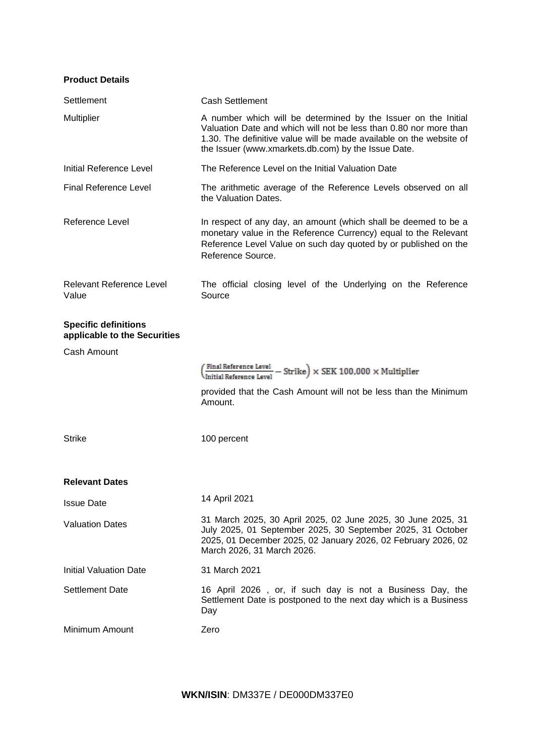### **Product Details**

| Settlement                                                  | <b>Cash Settlement</b>                                                                                                                                                                                                                                            |  |
|-------------------------------------------------------------|-------------------------------------------------------------------------------------------------------------------------------------------------------------------------------------------------------------------------------------------------------------------|--|
| Multiplier                                                  | A number which will be determined by the Issuer on the Initial<br>Valuation Date and which will not be less than 0.80 nor more than<br>1.30. The definitive value will be made available on the website of<br>the Issuer (www.xmarkets.db.com) by the Issue Date. |  |
| Initial Reference Level                                     | The Reference Level on the Initial Valuation Date                                                                                                                                                                                                                 |  |
| <b>Final Reference Level</b>                                | The arithmetic average of the Reference Levels observed on all<br>the Valuation Dates.                                                                                                                                                                            |  |
| Reference Level                                             | In respect of any day, an amount (which shall be deemed to be a<br>monetary value in the Reference Currency) equal to the Relevant<br>Reference Level Value on such day quoted by or published on the<br>Reference Source.                                        |  |
| <b>Relevant Reference Level</b><br>Value                    | The official closing level of the Underlying on the Reference<br>Source                                                                                                                                                                                           |  |
| <b>Specific definitions</b><br>applicable to the Securities |                                                                                                                                                                                                                                                                   |  |
| Cash Amount                                                 |                                                                                                                                                                                                                                                                   |  |
|                                                             | $\frac{\text{Final Reference Level}}{\text{Initial Reference Level}} - \text{Strike} \Big) \times \text{SEK } 100{,}000 \times \text{Multiplier}$                                                                                                                 |  |
|                                                             | provided that the Cash Amount will not be less than the Minimum<br>Amount.                                                                                                                                                                                        |  |
| <b>Strike</b>                                               | 100 percent                                                                                                                                                                                                                                                       |  |
| <b>Relevant Dates</b>                                       |                                                                                                                                                                                                                                                                   |  |
| <b>Issue Date</b>                                           | 14 April 2021                                                                                                                                                                                                                                                     |  |
| <b>Valuation Dates</b>                                      | 31 March 2025, 30 April 2025, 02 June 2025, 30 June 2025, 31<br>July 2025, 01 September 2025, 30 September 2025, 31 October<br>2025, 01 December 2025, 02 January 2026, 02 February 2026, 02<br>March 2026, 31 March 2026.                                        |  |
| <b>Initial Valuation Date</b>                               | 31 March 2021                                                                                                                                                                                                                                                     |  |
| Settlement Date                                             | 16 April 2026, or, if such day is not a Business Day, the<br>Settlement Date is postponed to the next day which is a Business<br>Day                                                                                                                              |  |
| Minimum Amount                                              | Zero                                                                                                                                                                                                                                                              |  |

**WKN/ISIN**: DM337E / DE000DM337E0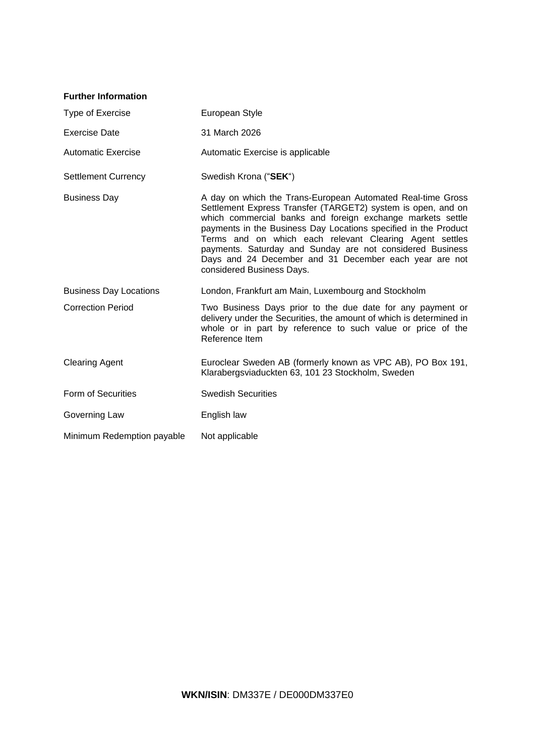| <b>Further Information</b>    |                                                                                                                                                                                                                                                                                                                                                                                                                                                                             |
|-------------------------------|-----------------------------------------------------------------------------------------------------------------------------------------------------------------------------------------------------------------------------------------------------------------------------------------------------------------------------------------------------------------------------------------------------------------------------------------------------------------------------|
| <b>Type of Exercise</b>       | European Style                                                                                                                                                                                                                                                                                                                                                                                                                                                              |
| <b>Exercise Date</b>          | 31 March 2026                                                                                                                                                                                                                                                                                                                                                                                                                                                               |
| <b>Automatic Exercise</b>     | Automatic Exercise is applicable                                                                                                                                                                                                                                                                                                                                                                                                                                            |
| <b>Settlement Currency</b>    | Swedish Krona ("SEK")                                                                                                                                                                                                                                                                                                                                                                                                                                                       |
| <b>Business Day</b>           | A day on which the Trans-European Automated Real-time Gross<br>Settlement Express Transfer (TARGET2) system is open, and on<br>which commercial banks and foreign exchange markets settle<br>payments in the Business Day Locations specified in the Product<br>Terms and on which each relevant Clearing Agent settles<br>payments. Saturday and Sunday are not considered Business<br>Days and 24 December and 31 December each year are not<br>considered Business Days. |
| <b>Business Day Locations</b> | London, Frankfurt am Main, Luxembourg and Stockholm                                                                                                                                                                                                                                                                                                                                                                                                                         |
| <b>Correction Period</b>      | Two Business Days prior to the due date for any payment or<br>delivery under the Securities, the amount of which is determined in<br>whole or in part by reference to such value or price of the<br>Reference Item                                                                                                                                                                                                                                                          |
| <b>Clearing Agent</b>         | Euroclear Sweden AB (formerly known as VPC AB), PO Box 191,<br>Klarabergsviaduckten 63, 101 23 Stockholm, Sweden                                                                                                                                                                                                                                                                                                                                                            |
| Form of Securities            | <b>Swedish Securities</b>                                                                                                                                                                                                                                                                                                                                                                                                                                                   |
| Governing Law                 | English law                                                                                                                                                                                                                                                                                                                                                                                                                                                                 |
| Minimum Redemption payable    | Not applicable                                                                                                                                                                                                                                                                                                                                                                                                                                                              |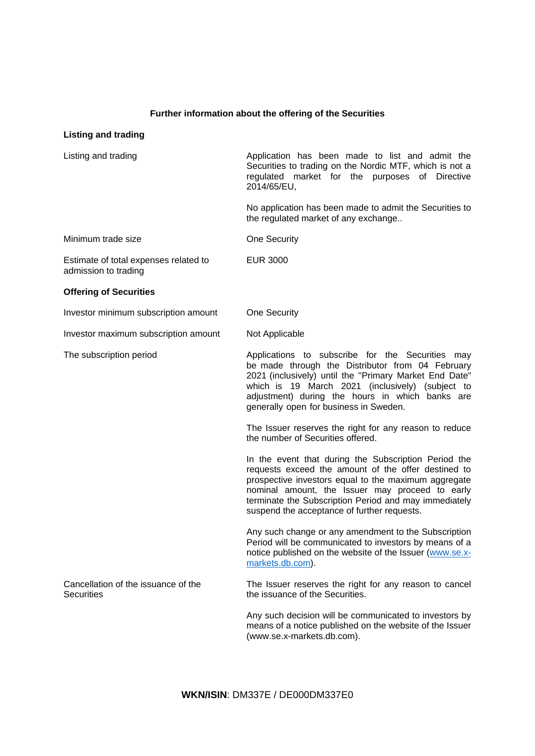# **Further information about the offering of the Securities**

# **Listing and trading**

| Listing and trading                                           | Application has been made to list and admit the<br>Securities to trading on the Nordic MTF, which is not a<br>regulated market for the purposes of Directive<br>2014/65/EU,                                                                                                                                                    |
|---------------------------------------------------------------|--------------------------------------------------------------------------------------------------------------------------------------------------------------------------------------------------------------------------------------------------------------------------------------------------------------------------------|
|                                                               | No application has been made to admit the Securities to<br>the regulated market of any exchange                                                                                                                                                                                                                                |
| Minimum trade size                                            | One Security                                                                                                                                                                                                                                                                                                                   |
| Estimate of total expenses related to<br>admission to trading | <b>EUR 3000</b>                                                                                                                                                                                                                                                                                                                |
| <b>Offering of Securities</b>                                 |                                                                                                                                                                                                                                                                                                                                |
| Investor minimum subscription amount                          | One Security                                                                                                                                                                                                                                                                                                                   |
| Investor maximum subscription amount                          | Not Applicable                                                                                                                                                                                                                                                                                                                 |
| The subscription period                                       | Applications to subscribe for the Securities may<br>be made through the Distributor from 04 February<br>2021 (inclusively) until the "Primary Market End Date"<br>which is 19 March 2021 (inclusively) (subject to<br>adjustment) during the hours in which banks are<br>generally open for business in Sweden.                |
|                                                               | The Issuer reserves the right for any reason to reduce<br>the number of Securities offered.                                                                                                                                                                                                                                    |
|                                                               | In the event that during the Subscription Period the<br>requests exceed the amount of the offer destined to<br>prospective investors equal to the maximum aggregate<br>nominal amount, the Issuer may proceed to early<br>terminate the Subscription Period and may immediately<br>suspend the acceptance of further requests. |
|                                                               | Any such change or any amendment to the Subscription<br>Period will be communicated to investors by means of a<br>notice published on the website of the Issuer (www.se.x-<br>markets.db.com).                                                                                                                                 |
| Cancellation of the issuance of the<br><b>Securities</b>      | The Issuer reserves the right for any reason to cancel<br>the issuance of the Securities.                                                                                                                                                                                                                                      |
|                                                               | Any such decision will be communicated to investors by<br>means of a notice published on the website of the Issuer<br>(www.se.x-markets.db.com).                                                                                                                                                                               |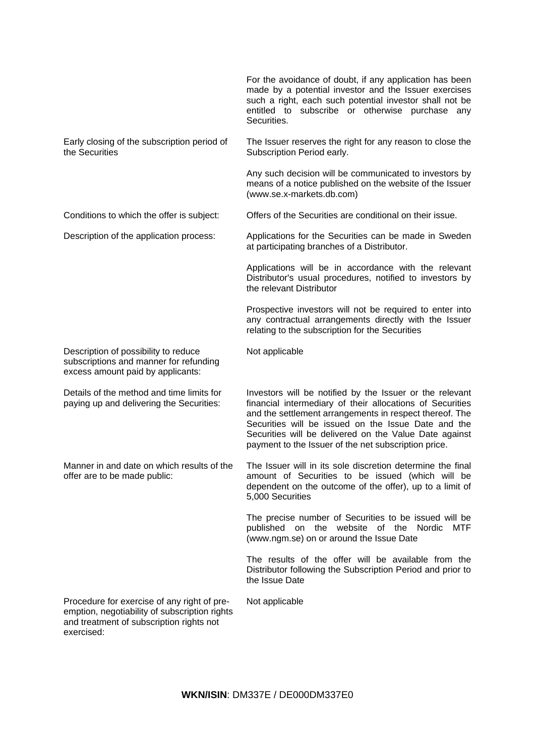|                                                                                                                                                        | For the avoidance of doubt, if any application has been<br>made by a potential investor and the Issuer exercises<br>such a right, each such potential investor shall not be<br>entitled to subscribe or otherwise purchase any<br>Securities.                                                                                                             |
|--------------------------------------------------------------------------------------------------------------------------------------------------------|-----------------------------------------------------------------------------------------------------------------------------------------------------------------------------------------------------------------------------------------------------------------------------------------------------------------------------------------------------------|
| Early closing of the subscription period of<br>the Securities                                                                                          | The Issuer reserves the right for any reason to close the<br>Subscription Period early.                                                                                                                                                                                                                                                                   |
|                                                                                                                                                        | Any such decision will be communicated to investors by<br>means of a notice published on the website of the Issuer<br>(www.se.x-markets.db.com)                                                                                                                                                                                                           |
| Conditions to which the offer is subject:                                                                                                              | Offers of the Securities are conditional on their issue.                                                                                                                                                                                                                                                                                                  |
| Description of the application process:                                                                                                                | Applications for the Securities can be made in Sweden<br>at participating branches of a Distributor.                                                                                                                                                                                                                                                      |
|                                                                                                                                                        | Applications will be in accordance with the relevant<br>Distributor's usual procedures, notified to investors by<br>the relevant Distributor                                                                                                                                                                                                              |
|                                                                                                                                                        | Prospective investors will not be required to enter into<br>any contractual arrangements directly with the Issuer<br>relating to the subscription for the Securities                                                                                                                                                                                      |
| Description of possibility to reduce<br>subscriptions and manner for refunding<br>excess amount paid by applicants:                                    | Not applicable                                                                                                                                                                                                                                                                                                                                            |
| Details of the method and time limits for<br>paying up and delivering the Securities:                                                                  | Investors will be notified by the Issuer or the relevant<br>financial intermediary of their allocations of Securities<br>and the settlement arrangements in respect thereof. The<br>Securities will be issued on the Issue Date and the<br>Securities will be delivered on the Value Date against<br>payment to the Issuer of the net subscription price. |
| Manner in and date on which results of the<br>offer are to be made public:                                                                             | The Issuer will in its sole discretion determine the final<br>amount of Securities to be issued (which will be<br>dependent on the outcome of the offer), up to a limit of<br>5,000 Securities                                                                                                                                                            |
|                                                                                                                                                        | The precise number of Securities to be issued will be<br><b>MTF</b><br>published on the website of the Nordic<br>(www.ngm.se) on or around the Issue Date                                                                                                                                                                                                 |
|                                                                                                                                                        | The results of the offer will be available from the<br>Distributor following the Subscription Period and prior to<br>the Issue Date                                                                                                                                                                                                                       |
| Procedure for exercise of any right of pre-<br>emption, negotiability of subscription rights<br>and treatment of subscription rights not<br>exercised: | Not applicable                                                                                                                                                                                                                                                                                                                                            |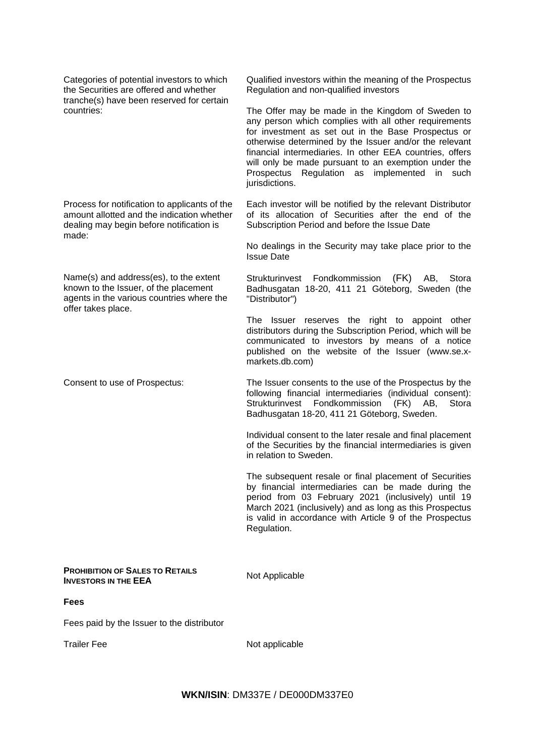| Categories of potential investors to which<br>the Securities are offered and whether<br>tranche(s) have been reserved for certain                  | Qualified investors within the meaning of the Prospectus<br>Regulation and non-qualified investors                                                                                                                                                                                                                                                                                                                         |
|----------------------------------------------------------------------------------------------------------------------------------------------------|----------------------------------------------------------------------------------------------------------------------------------------------------------------------------------------------------------------------------------------------------------------------------------------------------------------------------------------------------------------------------------------------------------------------------|
| countries:                                                                                                                                         | The Offer may be made in the Kingdom of Sweden to<br>any person which complies with all other requirements<br>for investment as set out in the Base Prospectus or<br>otherwise determined by the Issuer and/or the relevant<br>financial intermediaries. In other EEA countries, offers<br>will only be made pursuant to an exemption under the<br>Prospectus Regulation as<br>implemented<br>in<br>such<br>jurisdictions. |
| Process for notification to applicants of the<br>amount allotted and the indication whether<br>dealing may begin before notification is<br>made:   | Each investor will be notified by the relevant Distributor<br>of its allocation of Securities after the end of the<br>Subscription Period and before the Issue Date                                                                                                                                                                                                                                                        |
|                                                                                                                                                    | No dealings in the Security may take place prior to the<br><b>Issue Date</b>                                                                                                                                                                                                                                                                                                                                               |
| Name(s) and address(es), to the extent<br>known to the Issuer, of the placement<br>agents in the various countries where the<br>offer takes place. | Fondkommission<br>Strukturinvest<br>(FK)<br>AB,<br>Stora<br>Badhusgatan 18-20, 411 21 Göteborg, Sweden (the<br>"Distributor")                                                                                                                                                                                                                                                                                              |
|                                                                                                                                                    | The<br>Issuer reserves the right to appoint other<br>distributors during the Subscription Period, which will be<br>communicated to investors by means of a notice<br>published on the website of the Issuer (www.se.x-<br>markets.db.com)                                                                                                                                                                                  |
| Consent to use of Prospectus:                                                                                                                      | The Issuer consents to the use of the Prospectus by the<br>following financial intermediaries (individual consent):<br>Fondkommission<br>(FK)<br>Stora<br>Strukturinvest<br>AB,<br>Badhusgatan 18-20, 411 21 Göteborg, Sweden.                                                                                                                                                                                             |
|                                                                                                                                                    | Individual consent to the later resale and final placement<br>of the Securities by the financial intermediaries is given<br>in relation to Sweden.                                                                                                                                                                                                                                                                         |
|                                                                                                                                                    | The subsequent resale or final placement of Securities<br>by financial intermediaries can be made during the<br>period from 03 February 2021 (inclusively) until 19<br>March 2021 (inclusively) and as long as this Prospectus<br>is valid in accordance with Article 9 of the Prospectus<br>Regulation.                                                                                                                   |
| <b>PROHIBITION OF SALES TO RETAILS</b><br><b>INVESTORS IN THE EEA</b>                                                                              | Not Applicable                                                                                                                                                                                                                                                                                                                                                                                                             |
| <b>Fees</b>                                                                                                                                        |                                                                                                                                                                                                                                                                                                                                                                                                                            |
| Fees paid by the Issuer to the distributor                                                                                                         |                                                                                                                                                                                                                                                                                                                                                                                                                            |
| <b>Trailer Fee</b>                                                                                                                                 | Not applicable                                                                                                                                                                                                                                                                                                                                                                                                             |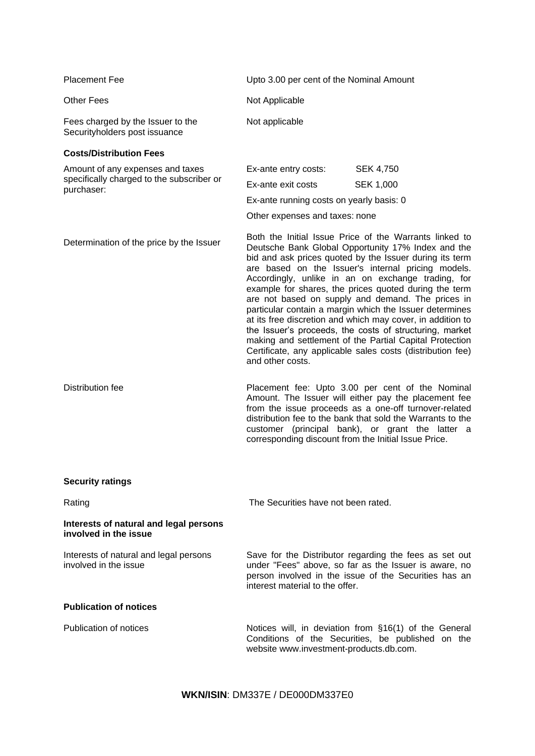| <b>Placement Fee</b>                                               | Upto 3.00 per cent of the Nominal Amount                                                                                                                                                                                                                                                                                                                                                                                                                                                                                                                                                                                                                                                                                           |                  |  |
|--------------------------------------------------------------------|------------------------------------------------------------------------------------------------------------------------------------------------------------------------------------------------------------------------------------------------------------------------------------------------------------------------------------------------------------------------------------------------------------------------------------------------------------------------------------------------------------------------------------------------------------------------------------------------------------------------------------------------------------------------------------------------------------------------------------|------------------|--|
| <b>Other Fees</b>                                                  | Not Applicable                                                                                                                                                                                                                                                                                                                                                                                                                                                                                                                                                                                                                                                                                                                     |                  |  |
| Fees charged by the Issuer to the<br>Securityholders post issuance | Not applicable                                                                                                                                                                                                                                                                                                                                                                                                                                                                                                                                                                                                                                                                                                                     |                  |  |
| <b>Costs/Distribution Fees</b>                                     |                                                                                                                                                                                                                                                                                                                                                                                                                                                                                                                                                                                                                                                                                                                                    |                  |  |
| Amount of any expenses and taxes                                   | Ex-ante entry costs:                                                                                                                                                                                                                                                                                                                                                                                                                                                                                                                                                                                                                                                                                                               | <b>SEK 4,750</b> |  |
| specifically charged to the subscriber or<br>purchaser:            | Ex-ante exit costs                                                                                                                                                                                                                                                                                                                                                                                                                                                                                                                                                                                                                                                                                                                 | <b>SEK 1,000</b> |  |
|                                                                    | Ex-ante running costs on yearly basis: 0                                                                                                                                                                                                                                                                                                                                                                                                                                                                                                                                                                                                                                                                                           |                  |  |
|                                                                    | Other expenses and taxes: none                                                                                                                                                                                                                                                                                                                                                                                                                                                                                                                                                                                                                                                                                                     |                  |  |
| Determination of the price by the Issuer                           | Both the Initial Issue Price of the Warrants linked to<br>Deutsche Bank Global Opportunity 17% Index and the<br>bid and ask prices quoted by the Issuer during its term<br>are based on the Issuer's internal pricing models.<br>Accordingly, unlike in an on exchange trading, for<br>example for shares, the prices quoted during the term<br>are not based on supply and demand. The prices in<br>particular contain a margin which the Issuer determines<br>at its free discretion and which may cover, in addition to<br>the Issuer's proceeds, the costs of structuring, market<br>making and settlement of the Partial Capital Protection<br>Certificate, any applicable sales costs (distribution fee)<br>and other costs. |                  |  |
| Distribution fee                                                   | Placement fee: Upto 3.00 per cent of the Nominal<br>Amount. The Issuer will either pay the placement fee<br>from the issue proceeds as a one-off turnover-related<br>distribution fee to the bank that sold the Warrants to the<br>customer (principal bank), or grant the latter a<br>corresponding discount from the Initial Issue Price.                                                                                                                                                                                                                                                                                                                                                                                        |                  |  |
| <b>Security ratings</b>                                            |                                                                                                                                                                                                                                                                                                                                                                                                                                                                                                                                                                                                                                                                                                                                    |                  |  |
| Rating                                                             | The Securities have not been rated.                                                                                                                                                                                                                                                                                                                                                                                                                                                                                                                                                                                                                                                                                                |                  |  |
| Interests of natural and legal persons<br>involved in the issue    |                                                                                                                                                                                                                                                                                                                                                                                                                                                                                                                                                                                                                                                                                                                                    |                  |  |
| Interests of natural and legal persons<br>involved in the issue    | Save for the Distributor regarding the fees as set out<br>under "Fees" above, so far as the Issuer is aware, no<br>person involved in the issue of the Securities has an<br>interest material to the offer.                                                                                                                                                                                                                                                                                                                                                                                                                                                                                                                        |                  |  |
| <b>Publication of notices</b>                                      |                                                                                                                                                                                                                                                                                                                                                                                                                                                                                                                                                                                                                                                                                                                                    |                  |  |
| <b>Publication of notices</b>                                      | Notices will, in deviation from §16(1) of the General<br>Conditions of the Securities, be published on the<br>website www.investment-products.db.com.                                                                                                                                                                                                                                                                                                                                                                                                                                                                                                                                                                              |                  |  |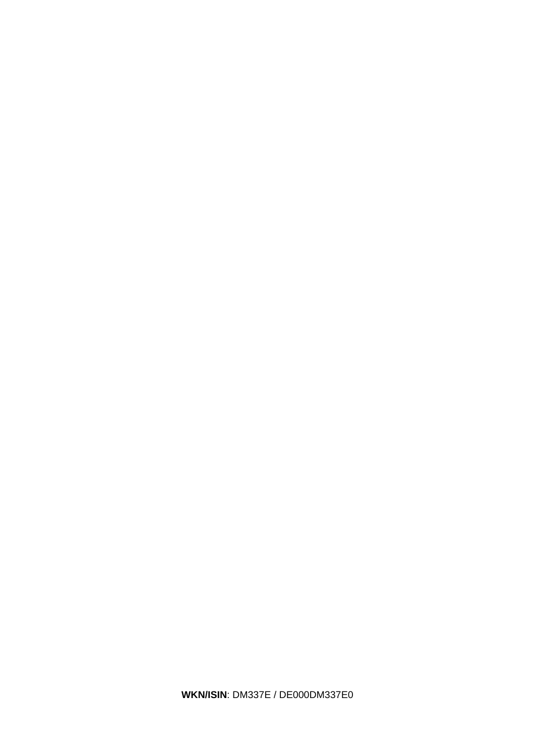**WKN/ISIN**: DM337E / DE000DM337E0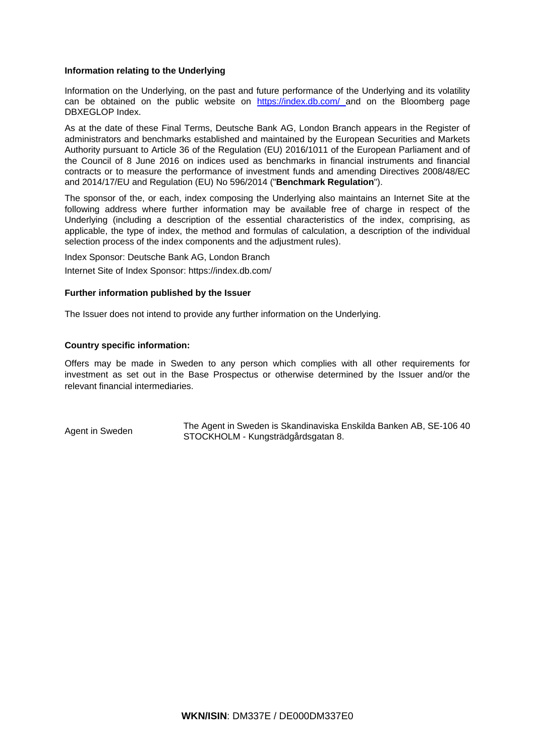### **Information relating to the Underlying**

Information on the Underlying, on the past and future performance of the Underlying and its volatility can be obtained on the public website on https://index.db.com/ and on the Bloomberg page DBXEGLOP Index.

As at the date of these Final Terms, Deutsche Bank AG, London Branch appears in the Register of administrators and benchmarks established and maintained by the European Securities and Markets Authority pursuant to Article 36 of the Regulation (EU) 2016/1011 of the European Parliament and of the Council of 8 June 2016 on indices used as benchmarks in financial instruments and financial contracts or to measure the performance of investment funds and amending Directives 2008/48/EC and 2014/17/EU and Regulation (EU) No 596/2014 ("**Benchmark Regulation**").

The sponsor of the, or each, index composing the Underlying also maintains an Internet Site at the following address where further information may be available free of charge in respect of the Underlying (including a description of the essential characteristics of the index, comprising, as applicable, the type of index, the method and formulas of calculation, a description of the individual selection process of the index components and the adjustment rules).

Index Sponsor: Deutsche Bank AG, London Branch Internet Site of Index Sponsor: https://index.db.com/

### **Further information published by the Issuer**

The Issuer does not intend to provide any further information on the Underlying.

### **Country specific information:**

Offers may be made in Sweden to any person which complies with all other requirements for investment as set out in the Base Prospectus or otherwise determined by the Issuer and/or the relevant financial intermediaries.

Agent in Sweden The Agent in Sweden is Skandinaviska Enskilda Banken AB, SE-106 40 STOCKHOLM - Kungsträdgårdsgatan 8.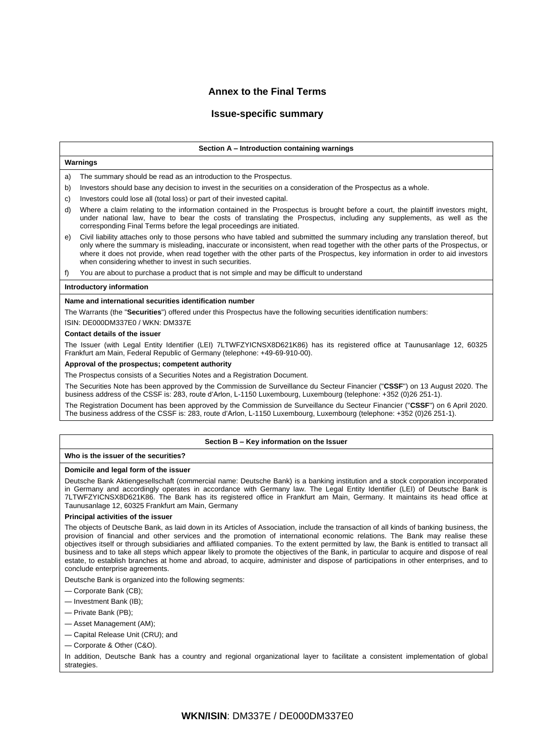## **Annex to the Final Terms**

### **Issue-specific summary**

#### **Section A – Introduction containing warnings**

#### **Warnings**

a) The summary should be read as an introduction to the Prospectus.

- b) Investors should base any decision to invest in the securities on a consideration of the Prospectus as a whole.
- c) Investors could lose all (total loss) or part of their invested capital.
- d) Where a claim relating to the information contained in the Prospectus is brought before a court, the plaintiff investors might, under national law, have to bear the costs of translating the Prospectus, including any supplements, as well as the corresponding Final Terms before the legal proceedings are initiated.
- e) Civil liability attaches only to those persons who have tabled and submitted the summary including any translation thereof, but only where the summary is misleading, inaccurate or inconsistent, when read together with the other parts of the Prospectus, or where it does not provide, when read together with the other parts of the Prospectus, key information in order to aid investors when considering whether to invest in such securities.
- f) You are about to purchase a product that is not simple and may be difficult to understand

#### **Introductory information**

#### **Name and international securities identification number**

The Warrants (the "**Securities**") offered under this Prospectus have the following securities identification numbers:

ISIN: DE000DM337E0 / WKN: DM337E

#### **Contact details of the issuer**

The Issuer (with Legal Entity Identifier (LEI) 7LTWFZYICNSX8D621K86) has its registered office at Taunusanlage 12, 60325 Frankfurt am Main, Federal Republic of Germany (telephone: +49-69-910-00).

#### **Approval of the prospectus; competent authority**

The Prospectus consists of a Securities Notes and a Registration Document.

The Securities Note has been approved by the Commission de Surveillance du Secteur Financier ("**CSSF**") on 13 August 2020. The business address of the CSSF is: 283, route d'Arlon, L-1150 Luxembourg, Luxembourg (telephone: +352 (0)26 251-1).

The Registration Document has been approved by the Commission de Surveillance du Secteur Financier ("**CSSF**") on 6 April 2020. The business address of the CSSF is: 283, route d'Arlon, L-1150 Luxembourg, Luxembourg (telephone: +352 (0)26 251-1).

#### **Section B – Key information on the Issuer**

### **Who is the issuer of the securities?**

#### **Domicile and legal form of the issuer**

Deutsche Bank Aktiengesellschaft (commercial name: Deutsche Bank) is a banking institution and a stock corporation incorporated in Germany and accordingly operates in accordance with Germany law. The Legal Entity Identifier (LEI) of Deutsche Bank is 7LTWFZYICNSX8D621K86. The Bank has its registered office in Frankfurt am Main, Germany. It maintains its head office at Taunusanlage 12, 60325 Frankfurt am Main, Germany

#### **Principal activities of the issuer**

The objects of Deutsche Bank, as laid down in its Articles of Association, include the transaction of all kinds of banking business, the provision of financial and other services and the promotion of international economic relations. The Bank may realise these objectives itself or through subsidiaries and affiliated companies. To the extent permitted by law, the Bank is entitled to transact all business and to take all steps which appear likely to promote the objectives of the Bank, in particular to acquire and dispose of real estate, to establish branches at home and abroad, to acquire, administer and dispose of participations in other enterprises, and to conclude enterprise agreements.

Deutsche Bank is organized into the following segments:

- Corporate Bank (CB);
- Investment Bank (IB);
- Private Bank (PB);
- Asset Management (AM);
- Capital Release Unit (CRU); and
- Corporate & Other (C&O).

In addition, Deutsche Bank has a country and regional organizational layer to facilitate a consistent implementation of global strategies.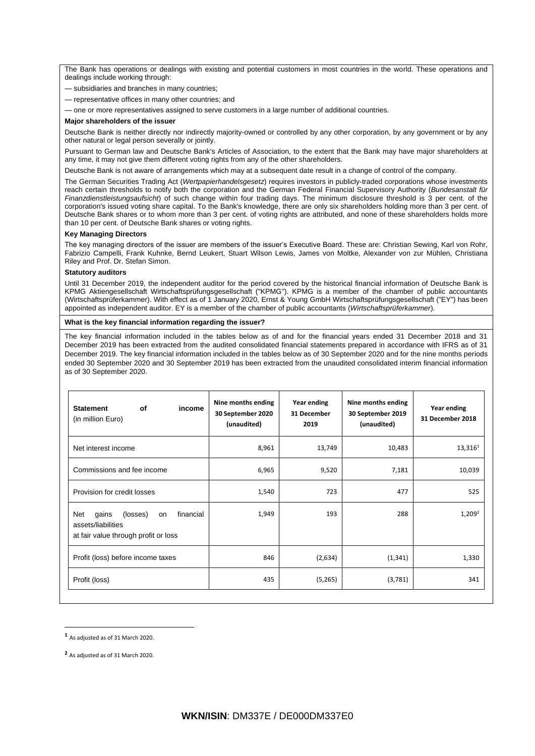The Bank has operations or dealings with existing and potential customers in most countries in the world. These operations and dealings include working through:

— subsidiaries and branches in many countries;

— representative offices in many other countries; and

— one or more representatives assigned to serve customers in a large number of additional countries.

#### **Major shareholders of the issuer**

Deutsche Bank is neither directly nor indirectly majority-owned or controlled by any other corporation, by any government or by any other natural or legal person severally or jointly.

Pursuant to German law and Deutsche Bank's Articles of Association, to the extent that the Bank may have major shareholders at any time, it may not give them different voting rights from any of the other shareholders.

Deutsche Bank is not aware of arrangements which may at a subsequent date result in a change of control of the company.

The German Securities Trading Act (*Wertpapierhandelsgesetz*) requires investors in publicly-traded corporations whose investments reach certain thresholds to notify both the corporation and the German Federal Financial Supervisory Authority (*Bundesanstalt für Finanzdienstleistungsaufsicht*) of such change within four trading days. The minimum disclosure threshold is 3 per cent. of the corporation's issued voting share capital. To the Bank's knowledge, there are only six shareholders holding more than 3 per cent. of Deutsche Bank shares or to whom more than 3 per cent. of voting rights are attributed, and none of these shareholders holds more than 10 per cent. of Deutsche Bank shares or voting rights.

#### **Key Managing Directors**

The key managing directors of the issuer are members of the issuer's Executive Board. These are: Christian Sewing, Karl von Rohr, Fabrizio Campelli, Frank Kuhnke, Bernd Leukert, Stuart Wilson Lewis, James von Moltke, Alexander von zur Mühlen, Christiana Riley and Prof. Dr. Stefan Simon.

#### **Statutory auditors**

Until 31 December 2019, the independent auditor for the period covered by the historical financial information of Deutsche Bank is KPMG Aktiengesellschaft Wirtschaftsprüfungsgesellschaft ("KPMG"). KPMG is a member of the chamber of public accountants (Wirtschaftsprüferkammer). With effect as of 1 January 2020, Ernst & Young GmbH Wirtschaftsprüfungsgesellschaft ("EY") has been appointed as independent auditor. EY is a member of the chamber of public accountants (*Wirtschaftsprüferkammer*).

#### **What is the key financial information regarding the issuer?**

The key financial information included in the tables below as of and for the financial years ended 31 December 2018 and 31 December 2019 has been extracted from the audited consolidated financial statements prepared in accordance with IFRS as of 31 December 2019. The key financial information included in the tables below as of 30 September 2020 and for the nine months periods ended 30 September 2020 and 30 September 2019 has been extracted from the unaudited consolidated interim financial information as of 30 September 2020.

| <b>Statement</b><br>οf<br>income<br>(in million Euro)                                                     | Nine months ending<br>30 September 2020<br>(unaudited) | Year ending<br>31 December<br>2019 | Nine months ending<br>30 September 2019<br>(unaudited) | Year ending<br>31 December 2018 |
|-----------------------------------------------------------------------------------------------------------|--------------------------------------------------------|------------------------------------|--------------------------------------------------------|---------------------------------|
| Net interest income                                                                                       | 8,961                                                  | 13,749                             | 10,483                                                 | $13,316^1$                      |
| Commissions and fee income                                                                                | 6,965                                                  | 9,520                              | 7,181                                                  | 10,039                          |
| Provision for credit losses                                                                               | 1,540                                                  | 723                                | 477                                                    | 525                             |
| financial<br>(losses)<br>Net<br>gains<br>on<br>assets/liabilities<br>at fair value through profit or loss | 1,949                                                  | 193                                | 288                                                    | $1,209^2$                       |
| Profit (loss) before income taxes                                                                         | 846                                                    | (2,634)                            | (1, 341)                                               | 1,330                           |
| Profit (loss)                                                                                             | 435                                                    | (5,265)                            | (3,781)                                                | 341                             |

**<sup>1</sup>** As adjusted as of 31 March 2020.

**.** 

**<sup>2</sup>** As adjusted as of 31 March 2020.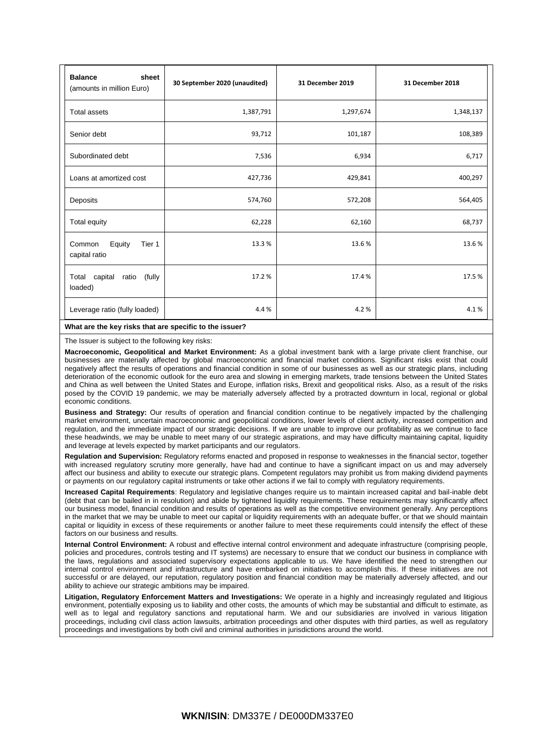| sheet<br><b>Balance</b><br>(amounts in million Euro) | 30 September 2020 (unaudited) | 31 December 2019 | 31 December 2018 |
|------------------------------------------------------|-------------------------------|------------------|------------------|
| <b>Total assets</b>                                  | 1,387,791                     | 1,297,674        | 1,348,137        |
| Senior debt                                          | 93,712                        | 101,187          | 108,389          |
| Subordinated debt                                    | 7,536                         | 6,934            | 6,717            |
| Loans at amortized cost                              | 427,736                       | 429,841          | 400,297          |
| Deposits                                             | 574,760                       | 572,208          | 564,405          |
| <b>Total equity</b>                                  | 62,228                        | 62,160           | 68,737           |
| Equity<br>Common<br>Tier 1<br>capital ratio          | 13.3%                         | 13.6%            | 13.6%            |
| Total capital ratio<br>(fully<br>loaded)             | 17.2%                         | 17.4%            | 17.5%            |
| Leverage ratio (fully loaded)                        | 4.4 %                         | 4.2%             | 4.1%             |

#### **What are the key risks that are specific to the issuer?**

The Issuer is subject to the following key risks:

**Macroeconomic, Geopolitical and Market Environment:** As a global investment bank with a large private client franchise, our businesses are materially affected by global macroeconomic and financial market conditions. Significant risks exist that could negatively affect the results of operations and financial condition in some of our businesses as well as our strategic plans, including deterioration of the economic outlook for the euro area and slowing in emerging markets, trade tensions between the United States and China as well between the United States and Europe, inflation risks, Brexit and geopolitical risks. Also, as a result of the risks posed by the COVID 19 pandemic, we may be materially adversely affected by a protracted downturn in local, regional or global economic conditions.

**Business and Strategy:** Our results of operation and financial condition continue to be negatively impacted by the challenging market environment, uncertain macroeconomic and geopolitical conditions, lower levels of client activity, increased competition and regulation, and the immediate impact of our strategic decisions. If we are unable to improve our profitability as we continue to face these headwinds, we may be unable to meet many of our strategic aspirations, and may have difficulty maintaining capital, liquidity and leverage at levels expected by market participants and our regulators.

**Regulation and Supervision:** Regulatory reforms enacted and proposed in response to weaknesses in the financial sector, together with increased regulatory scrutiny more generally, have had and continue to have a significant impact on us and may adversely affect our business and ability to execute our strategic plans. Competent regulators may prohibit us from making dividend payments or payments on our regulatory capital instruments or take other actions if we fail to comply with regulatory requirements.

**Increased Capital Requirements**: Regulatory and legislative changes require us to maintain increased capital and bail-inable debt (debt that can be bailed in in resolution) and abide by tightened liquidity requirements. These requirements may significantly affect our business model, financial condition and results of operations as well as the competitive environment generally. Any perceptions in the market that we may be unable to meet our capital or liquidity requirements with an adequate buffer, or that we should maintain capital or liquidity in excess of these requirements or another failure to meet these requirements could intensify the effect of these factors on our business and results.

**Internal Control Environment:** A robust and effective internal control environment and adequate infrastructure (comprising people, policies and procedures, controls testing and IT systems) are necessary to ensure that we conduct our business in compliance with the laws, regulations and associated supervisory expectations applicable to us. We have identified the need to strengthen our internal control environment and infrastructure and have embarked on initiatives to accomplish this. If these initiatives are not successful or are delayed, our reputation, regulatory position and financial condition may be materially adversely affected, and our ability to achieve our strategic ambitions may be impaired.

**Litigation, Regulatory Enforcement Matters and Investigations:** We operate in a highly and increasingly regulated and litigious environment, potentially exposing us to liability and other costs, the amounts of which may be substantial and difficult to estimate, as well as to legal and regulatory sanctions and reputational harm. We and our subsidiaries are involved in various litigation proceedings, including civil class action lawsuits, arbitration proceedings and other disputes with third parties, as well as regulatory proceedings and investigations by both civil and criminal authorities in jurisdictions around the world.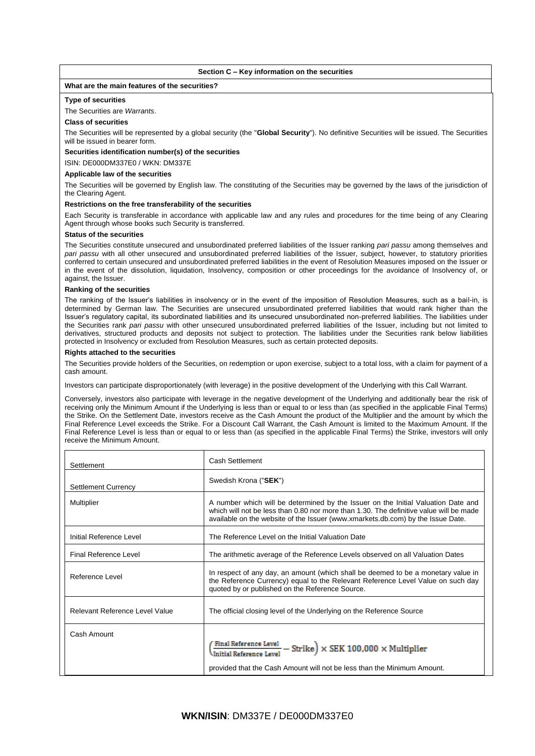**Section C – Key information on the securities**

#### **What are the main features of the securities?**

#### **Type of securities**

#### The Securities are *Warrants*.

### **Class of securities**

The Securities will be represented by a global security (the "**Global Security**"). No definitive Securities will be issued. The Securities will be issued in bearer form.

#### **Securities identification number(s) of the securities**

ISIN: DE000DM337E0 / WKN: DM337E

#### **Applicable law of the securities**

The Securities will be governed by English law. The constituting of the Securities may be governed by the laws of the jurisdiction of the Clearing Agent.

#### **Restrictions on the free transferability of the securities**

Each Security is transferable in accordance with applicable law and any rules and procedures for the time being of any Clearing Agent through whose books such Security is transferred.

#### **Status of the securities**

The Securities constitute unsecured and unsubordinated preferred liabilities of the Issuer ranking *pari passu* among themselves and *pari passu* with all other unsecured and unsubordinated preferred liabilities of the Issuer, subject, however, to statutory priorities conferred to certain unsecured and unsubordinated preferred liabilities in the event of Resolution Measures imposed on the Issuer or in the event of the dissolution, liquidation, Insolvency, composition or other proceedings for the avoidance of Insolvency of, or against, the Issuer.

#### **Ranking of the securities**

The ranking of the Issuer's liabilities in insolvency or in the event of the imposition of Resolution Measures, such as a bail-in, is determined by German law. The Securities are unsecured unsubordinated preferred liabilities that would rank higher than the Issuer's regulatory capital, its subordinated liabilities and its unsecured unsubordinated non-preferred liabilities. The liabilities under the Securities rank *pari passu* with other unsecured unsubordinated preferred liabilities of the Issuer, including but not limited to derivatives, structured products and deposits not subject to protection. The liabilities under the Securities rank below liabilities protected in Insolvency or excluded from Resolution Measures, such as certain protected deposits.

#### **Rights attached to the securities**

The Securities provide holders of the Securities, on redemption or upon exercise, subject to a total loss, with a claim for payment of a cash amount.

Investors can participate disproportionately (with leverage) in the positive development of the Underlying with this Call Warrant.

Conversely, investors also participate with leverage in the negative development of the Underlying and additionally bear the risk of receiving only the Minimum Amount if the Underlying is less than or equal to or less than (as specified in the applicable Final Terms) the Strike. On the Settlement Date, investors receive as the Cash Amount the product of the Multiplier and the amount by which the Final Reference Level exceeds the Strike. For a Discount Call Warrant, the Cash Amount is limited to the Maximum Amount. If the Final Reference Level is less than or equal to or less than (as specified in the applicable Final Terms) the Strike, investors will only receive the Minimum Amount.

| Settlement                     | Cash Settlement                                                                                                                                                                                                                                                |  |
|--------------------------------|----------------------------------------------------------------------------------------------------------------------------------------------------------------------------------------------------------------------------------------------------------------|--|
| <b>Settlement Currency</b>     | Swedish Krona ("SEK")                                                                                                                                                                                                                                          |  |
| Multiplier                     | A number which will be determined by the Issuer on the Initial Valuation Date and<br>which will not be less than 0.80 nor more than 1.30. The definitive value will be made<br>available on the website of the Issuer (www.xmarkets.db.com) by the Issue Date. |  |
| Initial Reference Level        | The Reference Level on the Initial Valuation Date                                                                                                                                                                                                              |  |
| Final Reference Level          | The arithmetic average of the Reference Levels observed on all Valuation Dates                                                                                                                                                                                 |  |
| Reference Level                | In respect of any day, an amount (which shall be deemed to be a monetary value in<br>the Reference Currency) equal to the Relevant Reference Level Value on such day<br>quoted by or published on the Reference Source.                                        |  |
| Relevant Reference Level Value | The official closing level of the Underlying on the Reference Source                                                                                                                                                                                           |  |
| Cash Amount                    |                                                                                                                                                                                                                                                                |  |
|                                | $\frac{[Final\ Reference\ Level]}{[Initial\ Reference\ Level]} - \text{Strike} \Big) \times \text{SEK } 100,000 \times \text{Multiplier}$                                                                                                                      |  |
|                                | provided that the Cash Amount will not be less than the Minimum Amount.                                                                                                                                                                                        |  |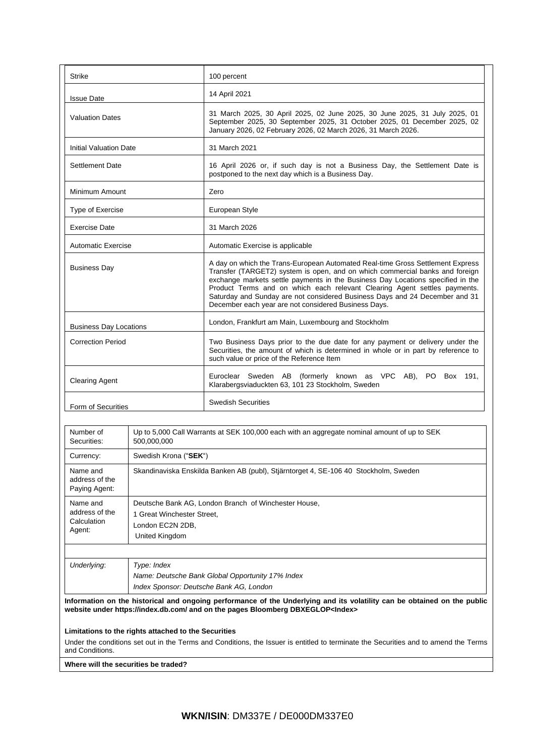| <b>Strike</b>                 | 100 percent                                                                                                                                                                                                                                                                                                                                                                                                                                                           |  |
|-------------------------------|-----------------------------------------------------------------------------------------------------------------------------------------------------------------------------------------------------------------------------------------------------------------------------------------------------------------------------------------------------------------------------------------------------------------------------------------------------------------------|--|
| <b>Issue Date</b>             | 14 April 2021                                                                                                                                                                                                                                                                                                                                                                                                                                                         |  |
| <b>Valuation Dates</b>        | 31 March 2025, 30 April 2025, 02 June 2025, 30 June 2025, 31 July 2025, 01<br>September 2025, 30 September 2025, 31 October 2025, 01 December 2025, 02<br>January 2026, 02 February 2026, 02 March 2026, 31 March 2026.                                                                                                                                                                                                                                               |  |
| <b>Initial Valuation Date</b> | 31 March 2021                                                                                                                                                                                                                                                                                                                                                                                                                                                         |  |
| <b>Settlement Date</b>        | 16 April 2026 or, if such day is not a Business Day, the Settlement Date is<br>postponed to the next day which is a Business Day.                                                                                                                                                                                                                                                                                                                                     |  |
| Minimum Amount                | Zero                                                                                                                                                                                                                                                                                                                                                                                                                                                                  |  |
| Type of Exercise              | European Style                                                                                                                                                                                                                                                                                                                                                                                                                                                        |  |
| <b>Exercise Date</b>          | 31 March 2026                                                                                                                                                                                                                                                                                                                                                                                                                                                         |  |
| Automatic Exercise            | Automatic Exercise is applicable                                                                                                                                                                                                                                                                                                                                                                                                                                      |  |
| <b>Business Day</b>           | A day on which the Trans-European Automated Real-time Gross Settlement Express<br>Transfer (TARGET2) system is open, and on which commercial banks and foreign<br>exchange markets settle payments in the Business Day Locations specified in the<br>Product Terms and on which each relevant Clearing Agent settles payments.<br>Saturday and Sunday are not considered Business Days and 24 December and 31<br>December each year are not considered Business Days. |  |
| <b>Business Day Locations</b> | London, Frankfurt am Main, Luxembourg and Stockholm                                                                                                                                                                                                                                                                                                                                                                                                                   |  |
| <b>Correction Period</b>      | Two Business Days prior to the due date for any payment or delivery under the<br>Securities, the amount of which is determined in whole or in part by reference to<br>such value or price of the Reference Item                                                                                                                                                                                                                                                       |  |
| <b>Clearing Agent</b>         | Euroclear Sweden AB (formerly known as VPC AB), PO Box 191,<br>Klarabergsviaduckten 63, 101 23 Stockholm, Sweden                                                                                                                                                                                                                                                                                                                                                      |  |
| Form of Securities            | <b>Swedish Securities</b>                                                                                                                                                                                                                                                                                                                                                                                                                                             |  |

| Number of<br>Securities:                            | Up to 5,000 Call Warrants at SEK 100,000 each with an aggregate nominal amount of up to SEK<br>500.000.000                    |
|-----------------------------------------------------|-------------------------------------------------------------------------------------------------------------------------------|
| Currency:                                           | Swedish Krona ("SEK")                                                                                                         |
| Name and<br>address of the<br>Paying Agent:         | Skandinaviska Enskilda Banken AB (publ), Stjärntorget 4, SE-106 40 Stockholm, Sweden                                          |
| Name and<br>address of the<br>Calculation<br>Agent: | Deutsche Bank AG, London Branch of Winchester House,<br><b>Great Winchester Street.</b><br>London EC2N 2DB,<br>United Kingdom |
|                                                     |                                                                                                                               |
| Underlying:                                         | Type: Index                                                                                                                   |

| Underlying: | Type: Index                                      |  |
|-------------|--------------------------------------------------|--|
|             | Name: Deutsche Bank Global Opportunity 17% Index |  |
|             | Index Sponsor: Deutsche Bank AG, London          |  |

**Information on the historical and ongoing performance of the Underlying and its volatility can be obtained on the public website under https://index.db.com/ and on the pages Bloomberg DBXEGLOP<Index>** 

### **Limitations to the rights attached to the Securities**

Under the conditions set out in the Terms and Conditions, the Issuer is entitled to terminate the Securities and to amend the Terms and Conditions.

**Where will the securities be traded?**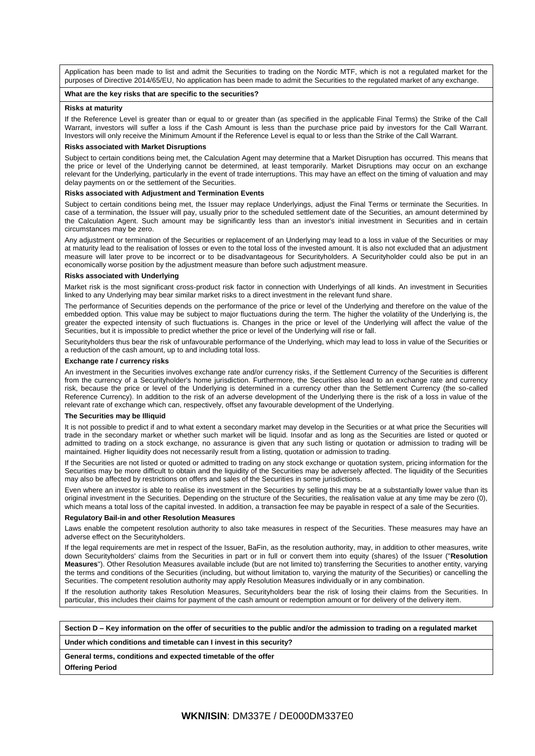Application has been made to list and admit the Securities to trading on the Nordic MTF, which is not a regulated market for the purposes of Directive 2014/65/EU, No application has been made to admit the Securities to the regulated market of any exchange.

#### **What are the key risks that are specific to the securities?**

#### **Risks at maturity**

If the Reference Level is greater than or equal to or greater than (as specified in the applicable Final Terms) the Strike of the Call Warrant, investors will suffer a loss if the Cash Amount is less than the purchase price paid by investors for the Call Warrant. Investors will only receive the Minimum Amount if the Reference Level is equal to or less than the Strike of the Call Warrant.

#### **Risks associated with Market Disruptions**

Subject to certain conditions being met, the Calculation Agent may determine that a Market Disruption has occurred. This means that the price or level of the Underlying cannot be determined, at least temporarily. Market Disruptions may occur on an exchange relevant for the Underlying, particularly in the event of trade interruptions. This may have an effect on the timing of valuation and may delay payments on or the settlement of the Securities.

#### **Risks associated with Adjustment and Termination Events**

Subject to certain conditions being met, the Issuer may replace Underlyings, adjust the Final Terms or terminate the Securities. In case of a termination, the Issuer will pay, usually prior to the scheduled settlement date of the Securities, an amount determined by the Calculation Agent. Such amount may be significantly less than an investor's initial investment in Securities and in certain circumstances may be zero.

Any adjustment or termination of the Securities or replacement of an Underlying may lead to a loss in value of the Securities or may at maturity lead to the realisation of losses or even to the total loss of the invested amount. It is also not excluded that an adjustment measure will later prove to be incorrect or to be disadvantageous for Securityholders. A Securityholder could also be put in an economically worse position by the adjustment measure than before such adjustment measure.

#### **Risks associated with Underlying**

Market risk is the most significant cross-product risk factor in connection with Underlyings of all kinds. An investment in Securities linked to any Underlying may bear similar market risks to a direct investment in the relevant fund share.

The performance of Securities depends on the performance of the price or level of the Underlying and therefore on the value of the embedded option. This value may be subject to major fluctuations during the term. The higher the volatility of the Underlying is, the greater the expected intensity of such fluctuations is. Changes in the price or level of the Underlying will affect the value of the Securities, but it is impossible to predict whether the price or level of the Underlying will rise or fall.

Securityholders thus bear the risk of unfavourable performance of the Underlying, which may lead to loss in value of the Securities or a reduction of the cash amount, up to and including total loss.

#### **Exchange rate / currency risks**

An investment in the Securities involves exchange rate and/or currency risks, if the Settlement Currency of the Securities is different from the currency of a Securityholder's home jurisdiction. Furthermore, the Securities also lead to an exchange rate and currency risk, because the price or level of the Underlying is determined in a currency other than the Settlement Currency (the so-called Reference Currency). In addition to the risk of an adverse development of the Underlying there is the risk of a loss in value of the relevant rate of exchange which can, respectively, offset any favourable development of the Underlying.

#### **The Securities may be Illiquid**

It is not possible to predict if and to what extent a secondary market may develop in the Securities or at what price the Securities will trade in the secondary market or whether such market will be liquid. Insofar and as long as the Securities are listed or quoted or admitted to trading on a stock exchange, no assurance is given that any such listing or quotation or admission to trading will be maintained. Higher liquidity does not necessarily result from a listing, quotation or admission to trading.

If the Securities are not listed or quoted or admitted to trading on any stock exchange or quotation system, pricing information for the Securities may be more difficult to obtain and the liquidity of the Securities may be adversely affected. The liquidity of the Securities may also be affected by restrictions on offers and sales of the Securities in some jurisdictions.

Even where an investor is able to realise its investment in the Securities by selling this may be at a substantially lower value than its original investment in the Securities. Depending on the structure of the Securities, the realisation value at any time may be zero (0), which means a total loss of the capital invested. In addition, a transaction fee may be payable in respect of a sale of the Securities.

#### **Regulatory Bail-in and other Resolution Measures**

Laws enable the competent resolution authority to also take measures in respect of the Securities. These measures may have an adverse effect on the Securityholders.

If the legal requirements are met in respect of the Issuer, BaFin, as the resolution authority, may, in addition to other measures, write down Securityholders' claims from the Securities in part or in full or convert them into equity (shares) of the Issuer ("**Resolution Measures**"). Other Resolution Measures available include (but are not limited to) transferring the Securities to another entity, varying the terms and conditions of the Securities (including, but without limitation to, varying the maturity of the Securities) or cancelling the Securities. The competent resolution authority may apply Resolution Measures individually or in any combination.

If the resolution authority takes Resolution Measures, Securityholders bear the risk of losing their claims from the Securities. In particular, this includes their claims for payment of the cash amount or redemption amount or for delivery of the delivery item.

**Section D – Key information on the offer of securities to the public and/or the admission to trading on a regulated market**

#### **Under which conditions and timetable can I invest in this security?**

#### **General terms, conditions and expected timetable of the offer**

**Offering Period**